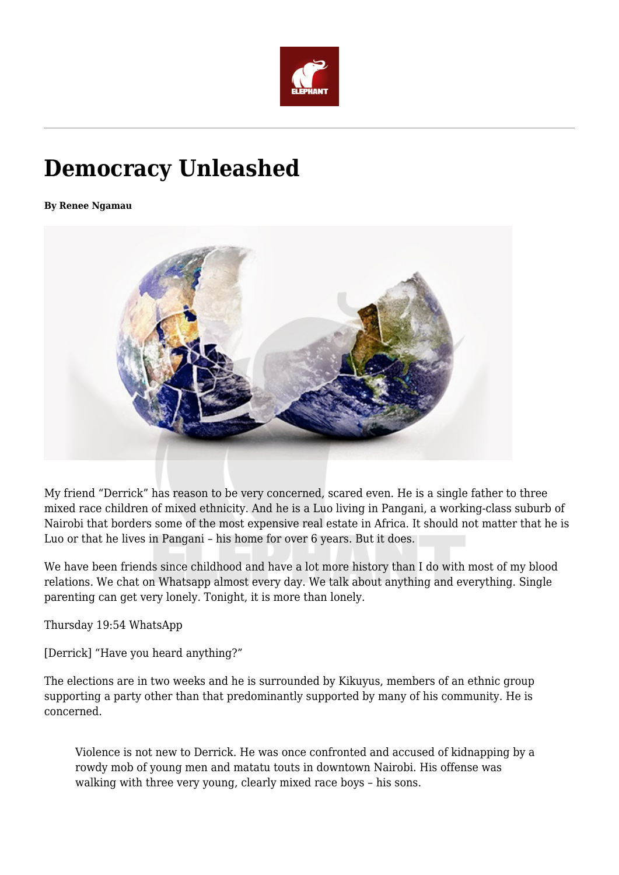

## **Democracy Unleashed**

**By Renee Ngamau**



My friend "Derrick" has reason to be very concerned, scared even. He is a single father to three mixed race children of mixed ethnicity. And he is a Luo living in Pangani, a working-class suburb of Nairobi that borders some of the most expensive real estate in Africa. It should not matter that he is Luo or that he lives in Pangani – his home for over 6 years. But it does.

We have been friends since childhood and have a lot more history than I do with most of my blood relations. We chat on Whatsapp almost every day. We talk about anything and everything. Single parenting can get very lonely. Tonight, it is more than lonely.

Thursday 19:54 WhatsApp

[Derrick] "Have you heard anything?"

The elections are in two weeks and he is surrounded by Kikuyus, members of an ethnic group supporting a party other than that predominantly supported by many of his community. He is concerned.

Violence is not new to Derrick. He was once confronted and accused of kidnapping by a rowdy mob of young men and matatu touts in downtown Nairobi. His offense was walking with three very young, clearly mixed race boys – his sons.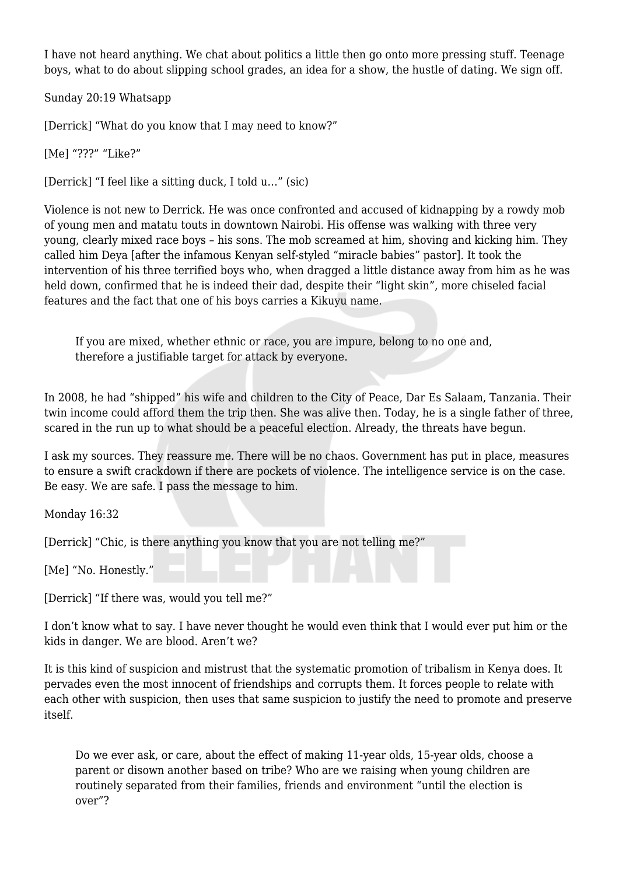I have not heard anything. We chat about politics a little then go onto more pressing stuff. Teenage boys, what to do about slipping school grades, an idea for a show, the hustle of dating. We sign off.

Sunday 20:19 Whatsapp

[Derrick] "What do you know that I may need to know?"

[Me] "???" "Like?"

[Derrick] "I feel like a sitting duck, I told u…" (sic)

Violence is not new to Derrick. He was once confronted and accused of kidnapping by a rowdy mob of young men and matatu touts in downtown Nairobi. His offense was walking with three very young, clearly mixed race boys – his sons. The mob screamed at him, shoving and kicking him. They called him Deya [after the infamous Kenyan self-styled "miracle babies" pastor]. It took the intervention of his three terrified boys who, when dragged a little distance away from him as he was held down, confirmed that he is indeed their dad, despite their "light skin", more chiseled facial features and the fact that one of his boys carries a Kikuyu name.

If you are mixed, whether ethnic or race, you are impure, belong to no one and, therefore a justifiable target for attack by everyone.

In 2008, he had "shipped" his wife and children to the City of Peace, Dar Es Salaam, Tanzania. Their twin income could afford them the trip then. She was alive then. Today, he is a single father of three, scared in the run up to what should be a peaceful election. Already, the threats have begun.

I ask my sources. They reassure me. There will be no chaos. Government has put in place, measures to ensure a swift crackdown if there are pockets of violence. The intelligence service is on the case. Be easy. We are safe. I pass the message to him.

Monday 16:32

[Derrick] "Chic, is there anything you know that you are not telling me?"

[Me] "No. Honestly."

[Derrick] "If there was, would you tell me?"

I don't know what to say. I have never thought he would even think that I would ever put him or the kids in danger. We are blood. Aren't we?

It is this kind of suspicion and mistrust that the systematic promotion of tribalism in Kenya does. It pervades even the most innocent of friendships and corrupts them. It forces people to relate with each other with suspicion, then uses that same suspicion to justify the need to promote and preserve itself.

Do we ever ask, or care, about the effect of making 11-year olds, 15-year olds, choose a parent or disown another based on tribe? Who are we raising when young children are routinely separated from their families, friends and environment "until the election is over"?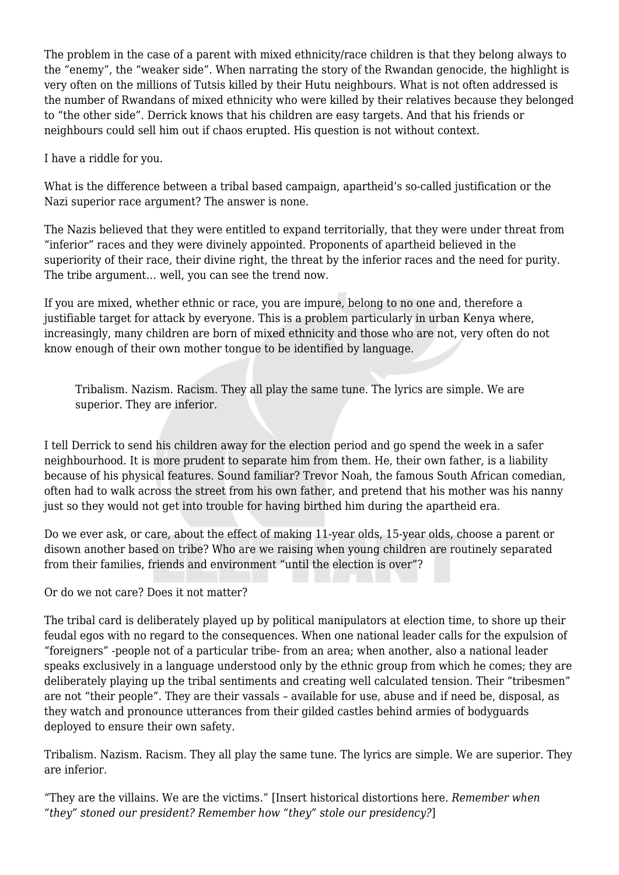The problem in the case of a parent with mixed ethnicity/race children is that they belong always to the "enemy", the "weaker side". When narrating the story of the Rwandan genocide, the highlight is very often on the millions of Tutsis killed by their Hutu neighbours. What is not often addressed is the number of Rwandans of mixed ethnicity who were killed by their relatives because they belonged to "the other side". Derrick knows that his children are easy targets. And that his friends or neighbours could sell him out if chaos erupted. His question is not without context.

I have a riddle for you.

What is the difference between a tribal based campaign, apartheid's so-called justification or the Nazi superior race argument? The answer is none.

The Nazis believed that they were entitled to expand territorially, that they were under threat from "inferior" races and they were divinely appointed. Proponents of apartheid believed in the superiority of their race, their divine right, the threat by the inferior races and the need for purity. The tribe argument… well, you can see the trend now.

If you are mixed, whether ethnic or race, you are impure, belong to no one and, therefore a justifiable target for attack by everyone. This is a problem particularly in urban Kenya where, increasingly, many children are born of mixed ethnicity and those who are not, very often do not know enough of their own mother tongue to be identified by language.

Tribalism. Nazism. Racism. They all play the same tune. The lyrics are simple. We are superior. They are inferior.

I tell Derrick to send his children away for the election period and go spend the week in a safer neighbourhood. It is more prudent to separate him from them. He, their own father, is a liability because of his physical features. Sound familiar? Trevor Noah, the famous South African comedian, often had to walk across the street from his own father, and pretend that his mother was his nanny just so they would not get into trouble for having birthed him during the apartheid era.

Do we ever ask, or care, about the effect of making 11-year olds, 15-year olds, choose a parent or disown another based on tribe? Who are we raising when young children are routinely separated from their families, friends and environment "until the election is over"?

Or do we not care? Does it not matter?

The tribal card is deliberately played up by political manipulators at election time, to shore up their feudal egos with no regard to the consequences. When one national leader calls for the expulsion of "foreigners" -people not of a particular tribe- from an area; when another, also a national leader speaks exclusively in a language understood only by the ethnic group from which he comes; they are deliberately playing up the tribal sentiments and creating well calculated tension. Their "tribesmen" are not "their people". They are their vassals – available for use, abuse and if need be, disposal, as they watch and pronounce utterances from their gilded castles behind armies of bodyguards deployed to ensure their own safety.

Tribalism. Nazism. Racism. They all play the same tune. The lyrics are simple. We are superior. They are inferior.

"They are the villains. We are the victims." [Insert historical distortions here. *Remember when "they" stoned our president? Remember how "they" stole our presidency?*]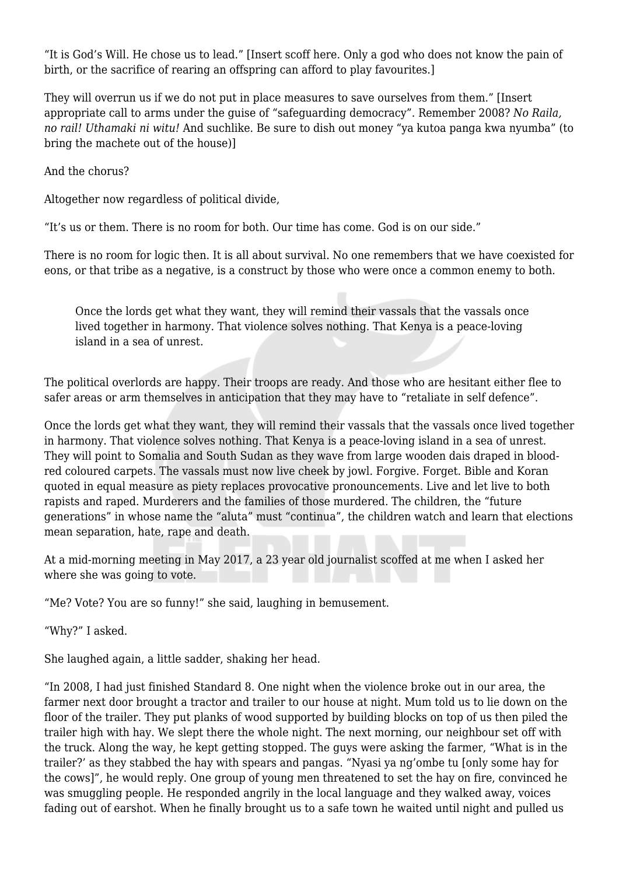"It is God's Will. He chose us to lead." [Insert scoff here. Only a god who does not know the pain of birth, or the sacrifice of rearing an offspring can afford to play favourites.]

They will overrun us if we do not put in place measures to save ourselves from them." [Insert appropriate call to arms under the guise of "safeguarding democracy". Remember 2008? *No Raila, no rail! Uthamaki ni witu!* And suchlike. Be sure to dish out money "ya kutoa panga kwa nyumba" (to bring the machete out of the house)]

And the chorus?

Altogether now regardless of political divide,

"It's us or them. There is no room for both. Our time has come. God is on our side."

There is no room for logic then. It is all about survival. No one remembers that we have coexisted for eons, or that tribe as a negative, is a construct by those who were once a common enemy to both.

Once the lords get what they want, they will remind their vassals that the vassals once lived together in harmony. That violence solves nothing. That Kenya is a peace-loving island in a sea of unrest.

The political overlords are happy. Their troops are ready. And those who are hesitant either flee to safer areas or arm themselves in anticipation that they may have to "retaliate in self defence".

Once the lords get what they want, they will remind their vassals that the vassals once lived together in harmony. That violence solves nothing. That Kenya is a peace-loving island in a sea of unrest. They will point to Somalia and South Sudan as they wave from large wooden dais draped in bloodred coloured carpets. The vassals must now live cheek by jowl. Forgive. Forget. Bible and Koran quoted in equal measure as piety replaces provocative pronouncements. Live and let live to both rapists and raped. Murderers and the families of those murdered. The children, the "future generations" in whose name the "aluta" must "continua", the children watch and learn that elections mean separation, hate, rape and death.

At a mid-morning meeting in May 2017, a 23 year old journalist scoffed at me when I asked her where she was going to vote.

"Me? Vote? You are so funny!" she said, laughing in bemusement.

"Why?" I asked.

She laughed again, a little sadder, shaking her head.

"In 2008, I had just finished Standard 8. One night when the violence broke out in our area, the farmer next door brought a tractor and trailer to our house at night. Mum told us to lie down on the floor of the trailer. They put planks of wood supported by building blocks on top of us then piled the trailer high with hay. We slept there the whole night. The next morning, our neighbour set off with the truck. Along the way, he kept getting stopped. The guys were asking the farmer, "What is in the trailer?' as they stabbed the hay with spears and pangas. "Nyasi ya ng'ombe tu [only some hay for the cows]", he would reply. One group of young men threatened to set the hay on fire, convinced he was smuggling people. He responded angrily in the local language and they walked away, voices fading out of earshot. When he finally brought us to a safe town he waited until night and pulled us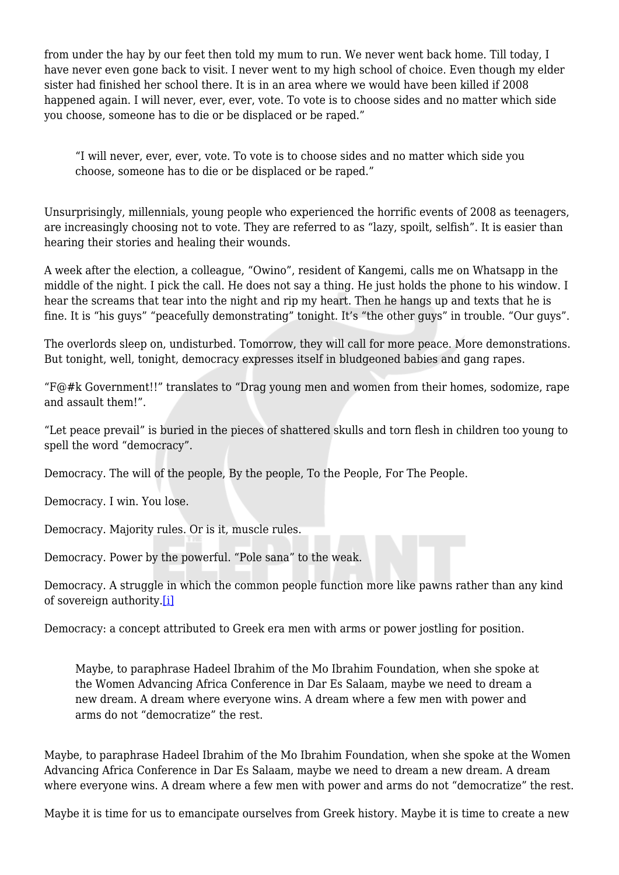from under the hay by our feet then told my mum to run. We never went back home. Till today, I have never even gone back to visit. I never went to my high school of choice. Even though my elder sister had finished her school there. It is in an area where we would have been killed if 2008 happened again. I will never, ever, ever, vote. To vote is to choose sides and no matter which side you choose, someone has to die or be displaced or be raped."

"I will never, ever, ever, vote. To vote is to choose sides and no matter which side you choose, someone has to die or be displaced or be raped."

Unsurprisingly, millennials, young people who experienced the horrific events of 2008 as teenagers, are increasingly choosing not to vote. They are referred to as "lazy, spoilt, selfish". It is easier than hearing their stories and healing their wounds.

A week after the election, a colleague, "Owino", resident of Kangemi, calls me on Whatsapp in the middle of the night. I pick the call. He does not say a thing. He just holds the phone to his window. I hear the screams that tear into the night and rip my heart. Then he hangs up and texts that he is fine. It is "his guys" "peacefully demonstrating" tonight. It's "the other guys" in trouble. "Our guys".

The overlords sleep on, undisturbed. Tomorrow, they will call for more peace. More demonstrations. But tonight, well, tonight, democracy expresses itself in bludgeoned babies and gang rapes.

"F@#k Government!!" translates to "Drag young men and women from their homes, sodomize, rape and assault them!".

"Let peace prevail" is buried in the pieces of shattered skulls and torn flesh in children too young to spell the word "democracy".

Democracy. The will of the people, By the people, To the People, For The People.

Democracy. I win. You lose.

Democracy. Majority rules. Or is it, muscle rules.

Democracy. Power by the powerful. "Pole sana" to the weak.

Democracy. A struggle in which the common people function more like pawns rather than any kind of sovereign authority.[\[i\]](#page-5-0)

Democracy: a concept attributed to Greek era men with arms or power jostling for position.

Maybe, to paraphrase Hadeel Ibrahim of the Mo Ibrahim Foundation, when she spoke at the Women Advancing Africa Conference in Dar Es Salaam, maybe we need to dream a new dream. A dream where everyone wins. A dream where a few men with power and arms do not "democratize" the rest.

Maybe, to paraphrase Hadeel Ibrahim of the Mo Ibrahim Foundation, when she spoke at the Women Advancing Africa Conference in Dar Es Salaam, maybe we need to dream a new dream. A dream where everyone wins. A dream where a few men with power and arms do not "democratize" the rest.

Maybe it is time for us to emancipate ourselves from Greek history. Maybe it is time to create a new